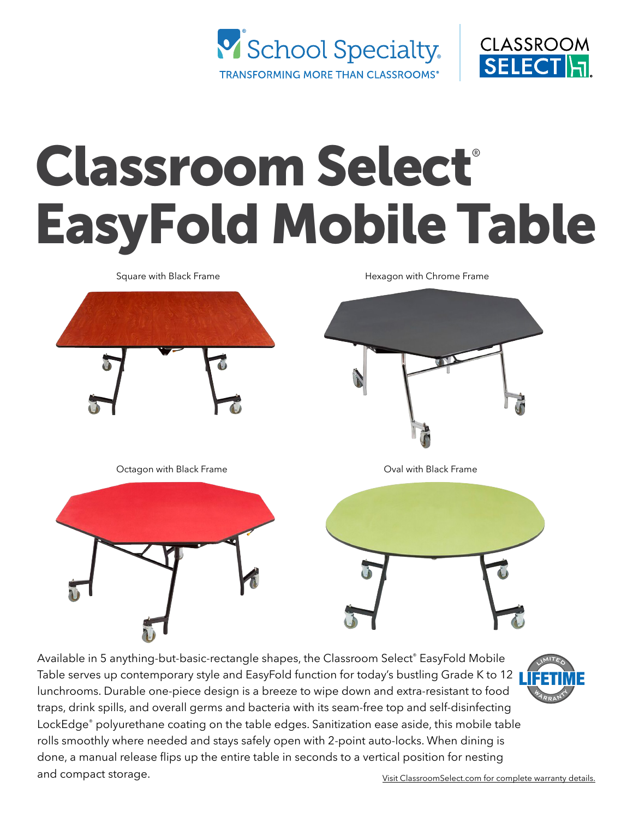



# Classroom Select® EasyFold Mobile Table

Square with Black Frame Octagon with Black Frame Costagon with Black Frame Hexagon with Chrome Frame

Available in 5 anything-but-basic-rectangle shapes, the Classroom Select® EasyFold Mobile Table serves up contemporary style and EasyFold function for today's bustling Grade K to 12 lunchrooms. Durable one-piece design is a breeze to wipe down and extra-resistant to food traps, drink spills, and overall germs and bacteria with its seam-free top and self-disinfecting LockEdge® polyurethane coating on the table edges. Sanitization ease aside, this mobile table rolls smoothly where needed and stays safely open with 2-point auto-locks. When dining is done, a manual release flips up the entire table in seconds to a vertical position for nesting and compact storage. **[Visit ClassroomSelect.com for complete warranty details.](https://www.schoolspecialty.com/wcsstore/SSIB2BStorefrontAssetStore/images/brand-pages/classroom-select/Classroom_Select_and_Royal_Seating_LLW.pdf)** 

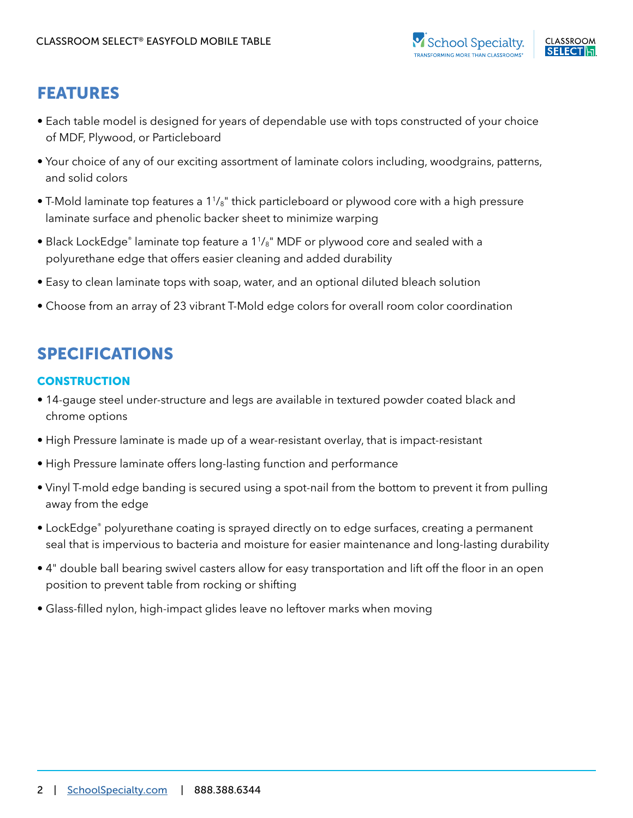

# FEATURES

- Each table model is designed for years of dependable use with tops constructed of your choice of MDF, Plywood, or Particleboard
- Your choice of any of our exciting assortment of laminate colors including, woodgrains, patterns, and solid colors
- T-Mold laminate top features a  $1\frac{1}{8}$ " thick particleboard or plywood core with a high pressure laminate surface and phenolic backer sheet to minimize warping
- Black LockEdge® laminate top feature a 1<sup>1</sup>/<sub>8</sub>" MDF or plywood core and sealed with a polyurethane edge that offers easier cleaning and added durability
- Easy to clean laminate tops with soap, water, and an optional diluted bleach solution
- Choose from an array of 23 vibrant T-Mold edge colors for overall room color coordination

# SPECIFICATIONS

#### **CONSTRUCTION**

- 14-gauge steel under-structure and legs are available in textured powder coated black and chrome options
- High Pressure laminate is made up of a wear-resistant overlay, that is impact-resistant
- High Pressure laminate offers long-lasting function and performance
- Vinyl T-mold edge banding is secured using a spot-nail from the bottom to prevent it from pulling away from the edge
- LockEdge® polyurethane coating is sprayed directly on to edge surfaces, creating a permanent seal that is impervious to bacteria and moisture for easier maintenance and long-lasting durability
- 4" double ball bearing swivel casters allow for easy transportation and lift off the floor in an open position to prevent table from rocking or shifting
- Glass-filled nylon, high-impact glides leave no leftover marks when moving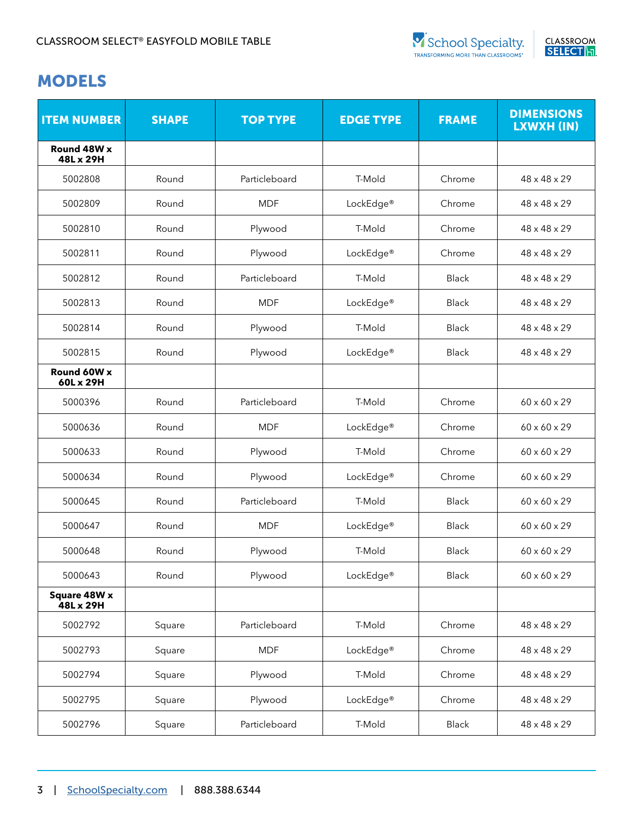

| <b>ITEM NUMBER</b>        | <b>SHAPE</b> | <b>TOP TYPE</b> | <b>EDGE TYPE</b>      | <b>FRAME</b> | <b>DIMENSIONS</b><br>LXWXH (IN) |
|---------------------------|--------------|-----------------|-----------------------|--------------|---------------------------------|
| Round 48W x<br>48L x 29H  |              |                 |                       |              |                                 |
| 5002808                   | Round        | Particleboard   | T-Mold                | Chrome       | $48 \times 48 \times 29$        |
| 5002809                   | Round        | <b>MDF</b>      | LockEdge <sup>®</sup> | Chrome       | $48 \times 48 \times 29$        |
| 5002810                   | Round        | Plywood         | T-Mold                | Chrome       | 48 x 48 x 29                    |
| 5002811                   | Round        | Plywood         | LockEdge <sup>®</sup> | Chrome       | 48 x 48 x 29                    |
| 5002812                   | Round        | Particleboard   | T-Mold                | <b>Black</b> | $48 \times 48 \times 29$        |
| 5002813                   | Round        | <b>MDF</b>      | LockEdge <sup>®</sup> | <b>Black</b> | $48 \times 48 \times 29$        |
| 5002814                   | Round        | Plywood         | T-Mold                | <b>Black</b> | $48 \times 48 \times 29$        |
| 5002815                   | Round        | Plywood         | LockEdge <sup>®</sup> | <b>Black</b> | $48 \times 48 \times 29$        |
| Round 60W x<br>60L x 29H  |              |                 |                       |              |                                 |
| 5000396                   | Round        | Particleboard   | T-Mold                | Chrome       | $60 \times 60 \times 29$        |
| 5000636                   | Round        | <b>MDF</b>      | LockEdge <sup>®</sup> | Chrome       | $60 \times 60 \times 29$        |
| 5000633                   | Round        | Plywood         | T-Mold                | Chrome       | $60 \times 60 \times 29$        |
| 5000634                   | Round        | Plywood         | LockEdge <sup>®</sup> | Chrome       | 60 x 60 x 29                    |
| 5000645                   | Round        | Particleboard   | T-Mold                | <b>Black</b> | 60 x 60 x 29                    |
| 5000647                   | Round        | <b>MDF</b>      | LockEdge <sup>®</sup> | <b>Black</b> | $60 \times 60 \times 29$        |
| 5000648                   | Round        | Plywood         | T-Mold                | <b>Black</b> | $60 \times 60 \times 29$        |
| 5000643                   | Round        | Plywood         | LockEdge <sup>®</sup> | Black        | $60 \times 60 \times 29$        |
| Square 48W x<br>48L x 29H |              |                 |                       |              |                                 |
| 5002792                   | Square       | Particleboard   | T-Mold                | Chrome       | 48 x 48 x 29                    |
| 5002793                   | Square       | <b>MDF</b>      | LockEdge®             | Chrome       | 48 x 48 x 29                    |
| 5002794                   | Square       | Plywood         | T-Mold                | Chrome       | 48 x 48 x 29                    |
| 5002795                   | Square       | Plywood         | LockEdge®             | Chrome       | 48 x 48 x 29                    |
| 5002796                   | Square       | Particleboard   | T-Mold                | Black        | 48 x 48 x 29                    |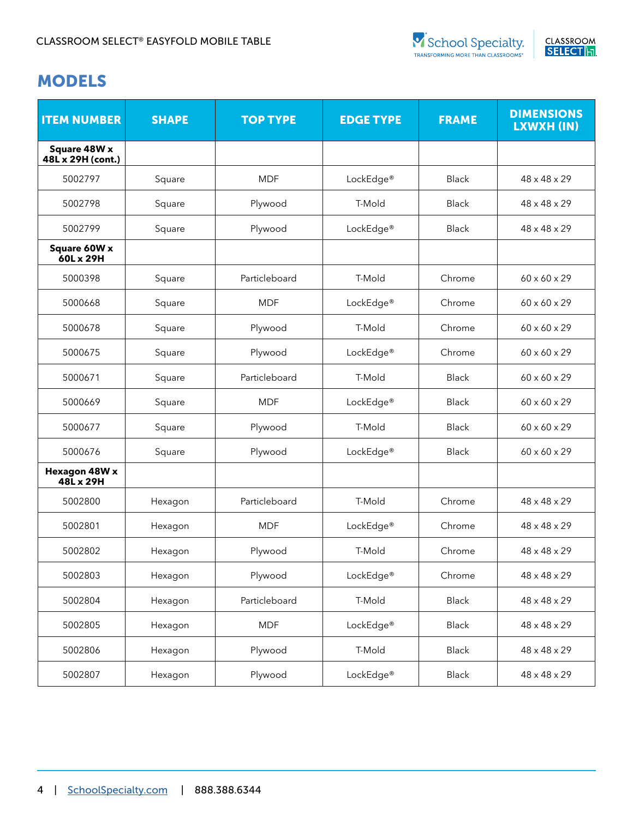



| <b>ITEM NUMBER</b>                | <b>SHAPE</b> | <b>TOP TYPE</b> | <b>EDGE TYPE</b>      | <b>FRAME</b> | <b>DIMENSIONS</b><br>LXWXH (IN) |
|-----------------------------------|--------------|-----------------|-----------------------|--------------|---------------------------------|
| Square 48W x<br>48L x 29H (cont.) |              |                 |                       |              |                                 |
| 5002797                           | Square       | <b>MDF</b>      | LockEdge <sup>®</sup> | <b>Black</b> | $48 \times 48 \times 29$        |
| 5002798                           | Square       | Plywood         | T-Mold                | <b>Black</b> | $48 \times 48 \times 29$        |
| 5002799                           | Square       | Plywood         | LockEdge®             | <b>Black</b> | $48 \times 48 \times 29$        |
| Square 60W x<br>60L x 29H         |              |                 |                       |              |                                 |
| 5000398                           | Square       | Particleboard   | T-Mold                | Chrome       | $60 \times 60 \times 29$        |
| 5000668                           | Square       | <b>MDF</b>      | LockEdge®             | Chrome       | $60 \times 60 \times 29$        |
| 5000678                           | Square       | Plywood         | T-Mold                | Chrome       | $60 \times 60 \times 29$        |
| 5000675                           | Square       | Plywood         | LockEdge®             | Chrome       | $60 \times 60 \times 29$        |
| 5000671                           | Square       | Particleboard   | T-Mold                | <b>Black</b> | $60 \times 60 \times 29$        |
| 5000669                           | Square       | <b>MDF</b>      | LockEdge®             | <b>Black</b> | $60 \times 60 \times 29$        |
| 5000677                           | Square       | Plywood         | T-Mold                | <b>Black</b> | $60 \times 60 \times 29$        |
| 5000676                           | Square       | Plywood         | LockEdge®             | <b>Black</b> | $60 \times 60 \times 29$        |
| Hexagon 48W x<br>48L x 29H        |              |                 |                       |              |                                 |
| 5002800                           | Hexagon      | Particleboard   | T-Mold                | Chrome       | $48 \times 48 \times 29$        |
| 5002801                           | Hexagon      | <b>MDF</b>      | LockEdge®             | Chrome       | $48 \times 48 \times 29$        |
| 5002802                           | Hexagon      | Plywood         | T-Mold                | Chrome       | $48 \times 48 \times 29$        |
| 5002803                           | Hexagon      | Plywood         | LockEdge <sup>®</sup> | Chrome       | 48 x 48 x 29                    |
| 5002804                           | Hexagon      | Particleboard   | T-Mold                | <b>Black</b> | 48 x 48 x 29                    |
| 5002805                           | Hexagon      | <b>MDF</b>      | LockEdge <sup>®</sup> | <b>Black</b> | 48 x 48 x 29                    |
| 5002806                           | Hexagon      | Plywood         | T-Mold                | <b>Black</b> | 48 x 48 x 29                    |
| 5002807                           | Hexagon      | Plywood         | LockEdge®             | Black        | 48 x 48 x 29                    |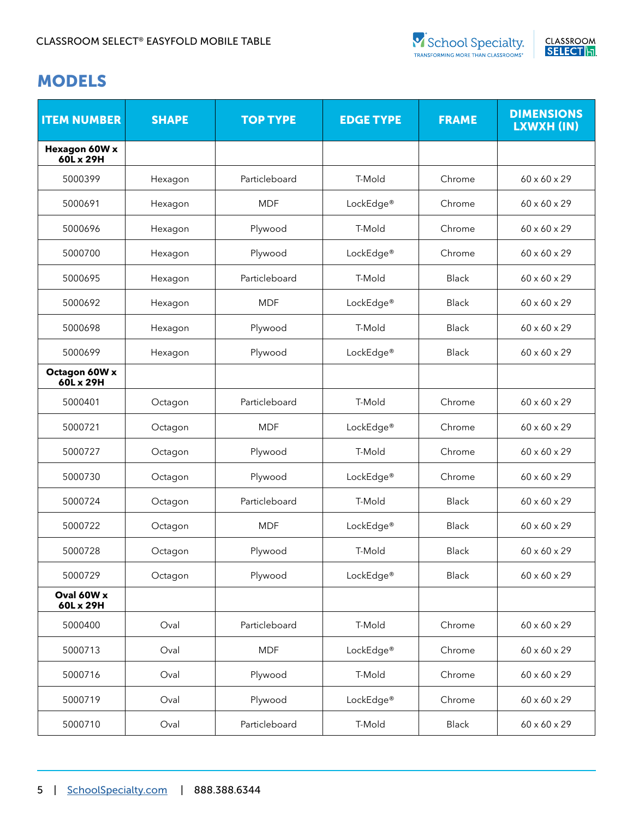

| <b>ITEM NUMBER</b>         | <b>SHAPE</b> | <b>TOP TYPE</b> | <b>EDGE TYPE</b>      | <b>FRAME</b> | <b>DIMENSIONS</b><br>LXWXH (IN) |
|----------------------------|--------------|-----------------|-----------------------|--------------|---------------------------------|
| Hexagon 60W x<br>60L x 29H |              |                 |                       |              |                                 |
| 5000399                    | Hexagon      | Particleboard   | T-Mold                | Chrome       | $60 \times 60 \times 29$        |
| 5000691                    | Hexagon      | <b>MDF</b>      | LockEdge <sup>®</sup> | Chrome       | $60 \times 60 \times 29$        |
| 5000696                    | Hexagon      | Plywood         | T-Mold                | Chrome       | 60 x 60 x 29                    |
| 5000700                    | Hexagon      | Plywood         | LockEdge <sup>®</sup> | Chrome       | 60 x 60 x 29                    |
| 5000695                    | Hexagon      | Particleboard   | T-Mold                | <b>Black</b> | 60 x 60 x 29                    |
| 5000692                    | Hexagon      | <b>MDF</b>      | LockEdge <sup>®</sup> | <b>Black</b> | $60 \times 60 \times 29$        |
| 5000698                    | Hexagon      | Plywood         | T-Mold                | <b>Black</b> | 60 x 60 x 29                    |
| 5000699                    | Hexagon      | Plywood         | LockEdge®             | <b>Black</b> | $60 \times 60 \times 29$        |
| Octagon 60W x<br>60L x 29H |              |                 |                       |              |                                 |
| 5000401                    | Octagon      | Particleboard   | T-Mold                | Chrome       | $60 \times 60 \times 29$        |
| 5000721                    | Octagon      | <b>MDF</b>      | LockEdge <sup>®</sup> | Chrome       | $60 \times 60 \times 29$        |
| 5000727                    | Octagon      | Plywood         | T-Mold                | Chrome       | 60 x 60 x 29                    |
| 5000730                    | Octagon      | Plywood         | LockEdge <sup>®</sup> | Chrome       | 60 x 60 x 29                    |
| 5000724                    | Octagon      | Particleboard   | T-Mold                | <b>Black</b> | 60 x 60 x 29                    |
| 5000722                    | Octagon      | <b>MDF</b>      | LockEdge <sup>®</sup> | <b>Black</b> | 60 x 60 x 29                    |
| 5000728                    | Octagon      | Plywood         | T-Mold                | <b>Black</b> | $60 \times 60 \times 29$        |
| 5000729                    | Octagon      | Plywood         | LockEdge <sup>®</sup> | Black        | 60 x 60 x 29                    |
| Oval 60W x<br>60L x 29H    |              |                 |                       |              |                                 |
| 5000400                    | Oval         | Particleboard   | T-Mold                | Chrome       | $60 \times 60 \times 29$        |
| 5000713                    | Oval         | <b>MDF</b>      | LockEdge <sup>®</sup> | Chrome       | 60 x 60 x 29                    |
| 5000716                    | Oval         | Plywood         | T-Mold                | Chrome       | 60 x 60 x 29                    |
| 5000719                    | Oval         | Plywood         | LockEdge®             | Chrome       | 60 x 60 x 29                    |
| 5000710                    | Oval         | Particleboard   | T-Mold                | Black        | $60 \times 60 \times 29$        |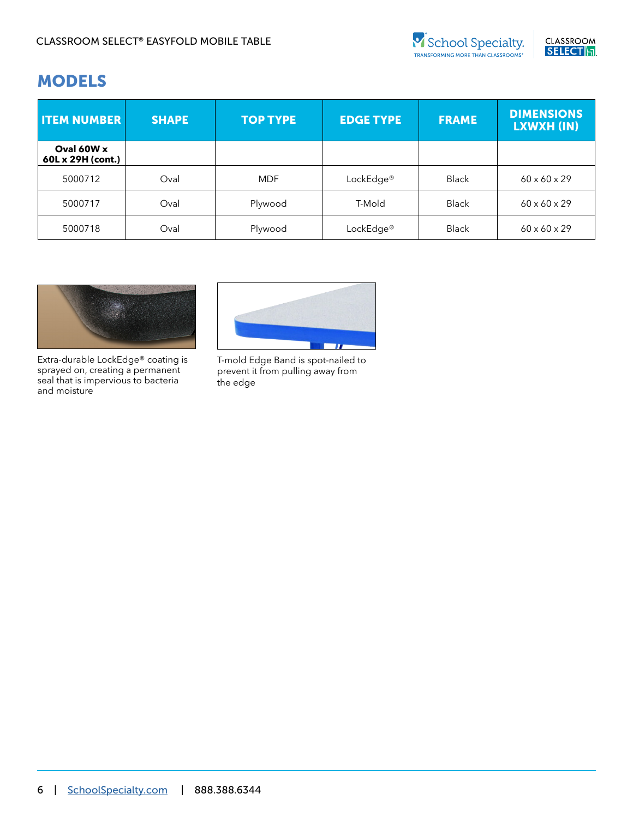



| <b>ITEM NUMBER</b>              | <b>SHAPE</b> | <b>TOP TYPE</b> | <b>EDGE TYPE</b>      | <b>FRAME</b> | <b>DIMENSIONS</b><br>LXWXH (IN) |
|---------------------------------|--------------|-----------------|-----------------------|--------------|---------------------------------|
| Oval 60W x<br>60L x 29H (cont.) |              |                 |                       |              |                                 |
| 5000712                         | Oval         | <b>MDF</b>      | LockEdge <sup>®</sup> | <b>Black</b> | $60 \times 60 \times 29$        |
| 5000717                         | Oval         | Plywood         | T-Mold                | <b>Black</b> | $60 \times 60 \times 29$        |
| 5000718                         | Oval         | Plywood         | LockEdge <sup>®</sup> | <b>Black</b> | $60 \times 60 \times 29$        |



Extra-durable LockEdge® coating is sprayed on, creating a permanent seal that is impervious to bacteria and moisture



T-mold Edge Band is spot-nailed to prevent it from pulling away from the edge